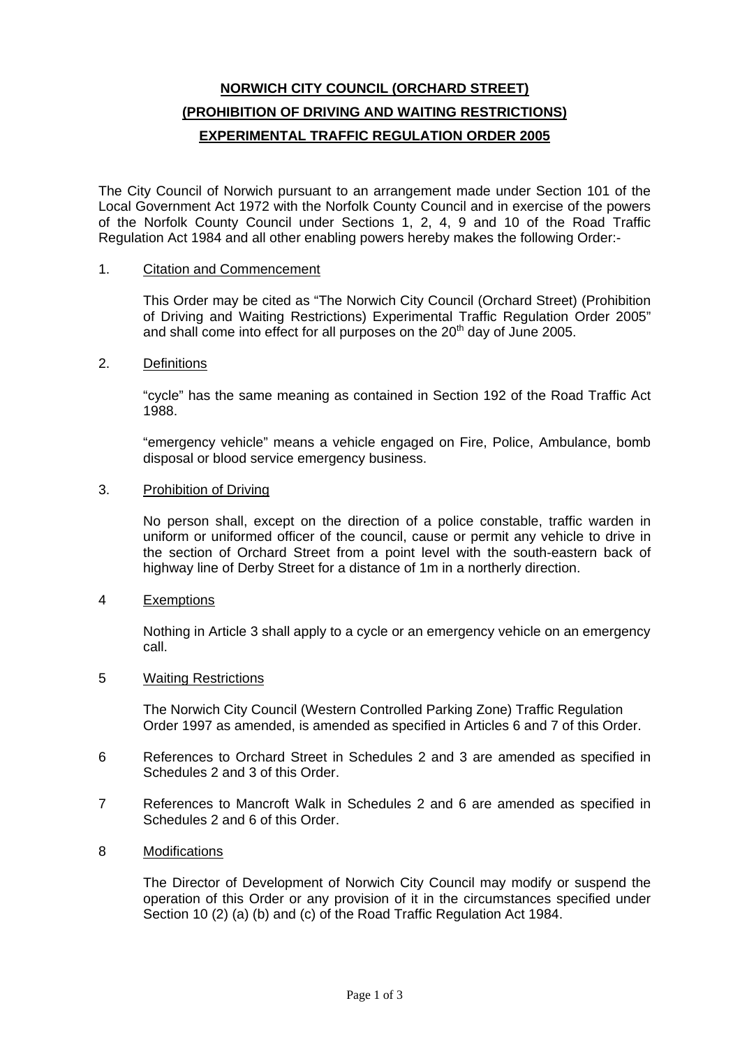# **NORWICH CITY COUNCIL (ORCHARD STREET) (PROHIBITION OF DRIVING AND WAITING RESTRICTIONS) EXPERIMENTAL TRAFFIC REGULATION ORDER 2005**

The City Council of Norwich pursuant to an arrangement made under Section 101 of the Local Government Act 1972 with the Norfolk County Council and in exercise of the powers of the Norfolk County Council under Sections 1, 2, 4, 9 and 10 of the Road Traffic Regulation Act 1984 and all other enabling powers hereby makes the following Order:-

#### 1. Citation and Commencement

This Order may be cited as "The Norwich City Council (Orchard Street) (Prohibition of Driving and Waiting Restrictions) Experimental Traffic Regulation Order 2005" and shall come into effect for all purposes on the  $20<sup>th</sup>$  day of June 2005.

### 2. Definitions

"cycle" has the same meaning as contained in Section 192 of the Road Traffic Act 1988.

"emergency vehicle" means a vehicle engaged on Fire, Police, Ambulance, bomb disposal or blood service emergency business.

#### 3. Prohibition of Driving

No person shall, except on the direction of a police constable, traffic warden in uniform or uniformed officer of the council, cause or permit any vehicle to drive in the section of Orchard Street from a point level with the south-eastern back of highway line of Derby Street for a distance of 1m in a northerly direction.

## 4 Exemptions

Nothing in Article 3 shall apply to a cycle or an emergency vehicle on an emergency call.

#### 5 Waiting Restrictions

The Norwich City Council (Western Controlled Parking Zone) Traffic Regulation Order 1997 as amended, is amended as specified in Articles 6 and 7 of this Order.

- 6 References to Orchard Street in Schedules 2 and 3 are amended as specified in Schedules 2 and 3 of this Order.
- 7 References to Mancroft Walk in Schedules 2 and 6 are amended as specified in Schedules 2 and 6 of this Order.

## 8 Modifications

The Director of Development of Norwich City Council may modify or suspend the operation of this Order or any provision of it in the circumstances specified under Section 10 (2) (a) (b) and (c) of the Road Traffic Regulation Act 1984.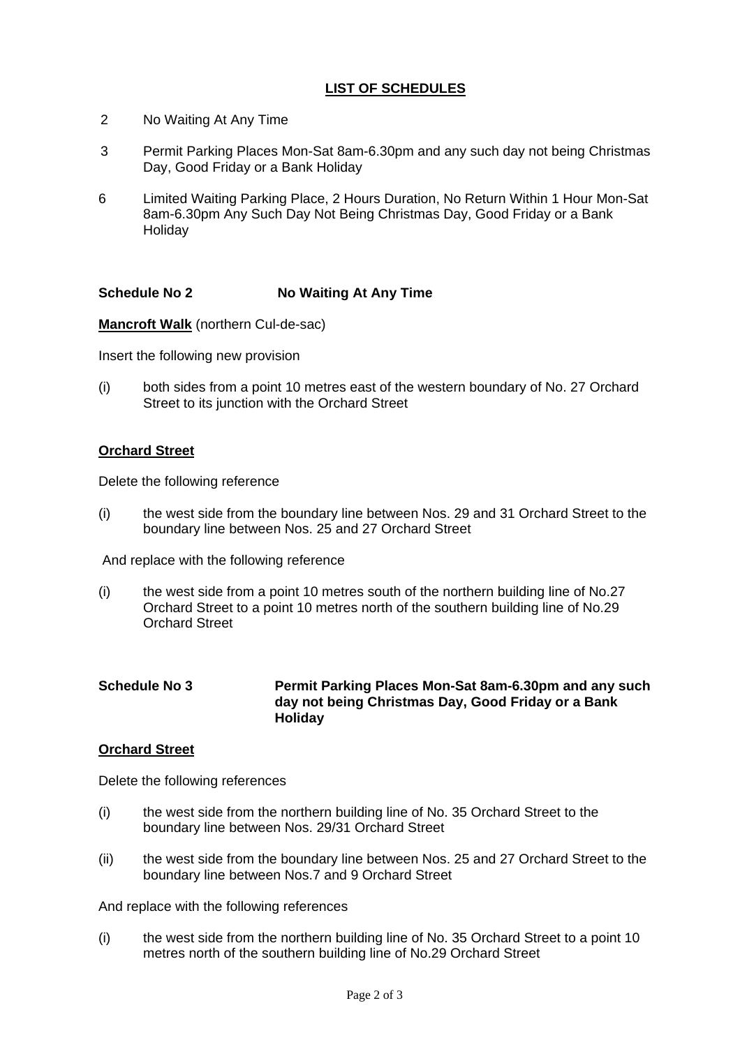## **LIST OF SCHEDULES**

- 2 No Waiting At Any Time
- 3 Permit Parking Places Mon-Sat 8am-6.30pm and any such day not being Christmas Day, Good Friday or a Bank Holiday
- 6 Limited Waiting Parking Place, 2 Hours Duration, No Return Within 1 Hour Mon-Sat 8am-6.30pm Any Such Day Not Being Christmas Day, Good Friday or a Bank **Holidav**

## **Schedule No 2 No Waiting At Any Time**

**Mancroft Walk** (northern Cul-de-sac)

Insert the following new provision

(i) both sides from a point 10 metres east of the western boundary of No. 27 Orchard Street to its junction with the Orchard Street

## **Orchard Street**

Delete the following reference

(i) the west side from the boundary line between Nos. 29 and 31 Orchard Street to the boundary line between Nos. 25 and 27 Orchard Street

And replace with the following reference

- (i) the west side from a point 10 metres south of the northern building line of No.27 Orchard Street to a point 10 metres north of the southern building line of No.29 Orchard Street
- **Schedule No 3 Permit Parking Places Mon-Sat 8am-6.30pm and any such day not being Christmas Day, Good Friday or a Bank Holiday**

#### **Orchard Street**

Delete the following references

- (i) the west side from the northern building line of No. 35 Orchard Street to the boundary line between Nos. 29/31 Orchard Street
- (ii) the west side from the boundary line between Nos. 25 and 27 Orchard Street to the boundary line between Nos.7 and 9 Orchard Street

And replace with the following references

(i) the west side from the northern building line of No. 35 Orchard Street to a point 10 metres north of the southern building line of No.29 Orchard Street